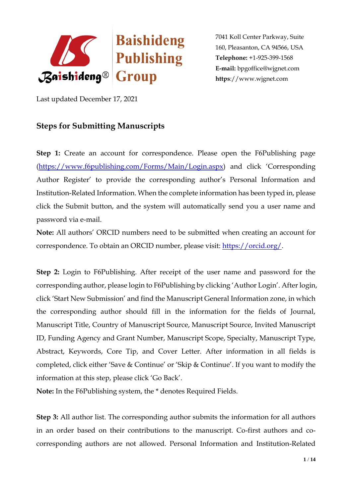

Last updated December 17, 2021

# **Steps for Submitting Manuscripts**

**Step 1:** Create an account for correspondence. Please open the F6Publishing page [\(https://www.f6publishing.com/Forms/Main/Login.aspx](https://www.f6publishing.com/Forms/Main/Login.aspx)) and click 'Corresponding Author Register' to provide the corresponding author's Personal Information and Institution-Related Information. When the complete information has been typed in, please click the Submit button, and the system will automatically send you a user name and password via e-mail.

**Note:** All authors' ORCID numbers need to be submitted when creating an account for correspondence. To obtain an ORCID number, please visit: [https://orcid.org/.](https://orcid.org/)

**Step 2:** Login to F6Publishing. After receipt of the user name and password for the corresponding author, please login to F6Publishing by clicking 'Author Login'. After login, click 'Start New Submission' and find the Manuscript General Information zone, in which the corresponding author should fill in the information for the fields of Journal, Manuscript Title, Country of Manuscript Source, Manuscript Source, Invited Manuscript ID, Funding Agency and Grant Number, Manuscript Scope, Specialty, Manuscript Type, Abstract, Keywords, Core Tip, and Cover Letter. After information in all fields is completed, click either 'Save & Continue' or 'Skip & Continue'. If you want to modify the information at this step, please click 'Go Back'.

**Note:** In the F6Publishing system, the \* denotes Required Fields.

**Step 3:** All author list. The corresponding author submits the information for all authors in an order based on their contributions to the manuscript. Co-first authors and cocorresponding authors are not allowed. Personal Information and Institution-Related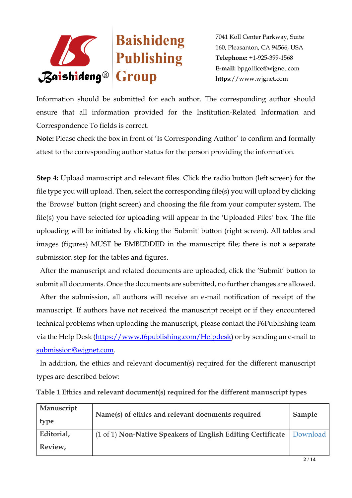

Information should be submitted for each author. The corresponding author should ensure that all information provided for the Institution-Related Information and Correspondence To fields is correct.

**Note:** Please check the box in front of 'Is Corresponding Author' to confirm and formally attest to the corresponding author status for the person providing the information.

**Step 4:** Upload manuscript and relevant files. Click the radio button (left screen) for the file type you will upload. Then, select the corresponding file(s) you will upload by clicking the 'Browse' button (right screen) and choosing the file from your computer system. The file(s) you have selected for uploading will appear in the 'Uploaded Files' box. The file uploading will be initiated by clicking the 'Submit' button (right screen). All tables and images (figures) MUST be EMBEDDED in the manuscript file; there is not a separate submission step for the tables and figures.

 After the manuscript and related documents are uploaded, click the 'Submit' button to submit all documents. Once the documents are submitted, no further changes are allowed.

 After the submission, all authors will receive an e-mail notification of receipt of the manuscript. If authors have not received the manuscript receipt or if they encountered technical problems when uploading the manuscript, please contact the F6Publishing team via the Help Desk [\(https://www.f6publishing.com/Helpdesk\)](https://www.f6publishing.com/Helpdesk) or by sending an e-mail to [submission@wjgnet.com.](mailto:submission@wjgnet.com)

 In addition, the ethics and relevant document(s) required for the different manuscript types are described below:

| Manuscript<br>type | Name(s) of ethics and relevant documents required           | Sample   |
|--------------------|-------------------------------------------------------------|----------|
| Editorial,         | (1 of 1) Non-Native Speakers of English Editing Certificate | Download |
| Review,            |                                                             |          |

**Table 1 Ethics and relevant document(s) required for the different manuscript types**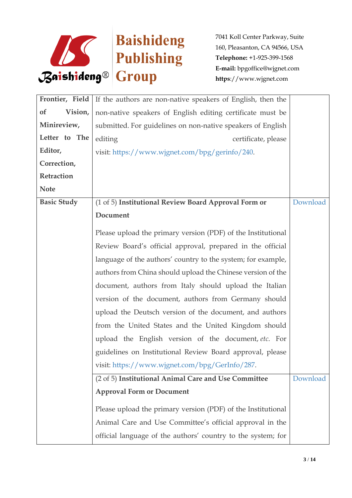

| Frontier, Field      | If the authors are non-native speakers of English, then the  |          |
|----------------------|--------------------------------------------------------------|----------|
| <b>of</b><br>Vision, | non-native speakers of English editing certificate must be   |          |
| Minireview,          | submitted. For guidelines on non-native speakers of English  |          |
| Letter to The        | editing<br>certificate, please                               |          |
| Editor,              | visit: https://www.wjgnet.com/bpg/gerinfo/240.               |          |
| Correction,          |                                                              |          |
| Retraction           |                                                              |          |
| <b>Note</b>          |                                                              |          |
| <b>Basic Study</b>   | (1 of 5) Institutional Review Board Approval Form or         | Download |
|                      | Document                                                     |          |
|                      | Please upload the primary version (PDF) of the Institutional |          |
|                      | Review Board's official approval, prepared in the official   |          |
|                      | language of the authors' country to the system; for example, |          |
|                      | authors from China should upload the Chinese version of the  |          |
|                      | document, authors from Italy should upload the Italian       |          |
|                      | version of the document, authors from Germany should         |          |
|                      | upload the Deutsch version of the document, and authors      |          |
|                      | from the United States and the United Kingdom should         |          |
|                      | upload the English version of the document, etc. For         |          |
|                      | guidelines on Institutional Review Board approval, please    |          |
|                      | visit: https://www.wjgnet.com/bpg/GerInfo/287.               |          |
|                      | (2 of 5) Institutional Animal Care and Use Committee         | Download |
|                      | <b>Approval Form or Document</b>                             |          |
|                      | Please upload the primary version (PDF) of the Institutional |          |
|                      | Animal Care and Use Committee's official approval in the     |          |
|                      | official language of the authors' country to the system; for |          |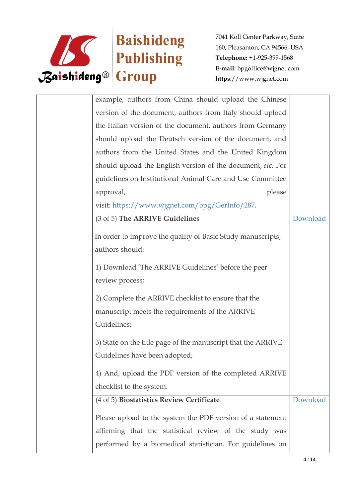

| example, authors from China should upload the Chinese        |          |
|--------------------------------------------------------------|----------|
| version of the document, authors from Italy should upload    |          |
| the Italian version of the document, authors from Germany    |          |
| should upload the Deutsch version of the document, and       |          |
| authors from the United States and the United Kingdom        |          |
| should upload the English version of the document, etc. For  |          |
| guidelines on Institutional Animal Care and Use Committee    |          |
| approval,<br>please                                          |          |
| visit: https://www.wjgnet.com/bpg/GerInfo/287.               |          |
| (3 of 5) The ARRIVE Guidelines                               | Download |
| In order to improve the quality of Basic Study manuscripts,  |          |
| authors should:                                              |          |
| 1) Download 'The ARRIVE Guidelines' before the peer          |          |
| review process;                                              |          |
| 2) Complete the ARRIVE checklist to ensure that the          |          |
| manuscript meets the requirements of the ARRIVE              |          |
| Guidelines;                                                  |          |
| 3) State on the title page of the manuscript that the ARRIVE |          |
| Guidelines have been adopted;                                |          |
| 4) And, upload the PDF version of the completed ARRIVE       |          |
| checklist to the system.                                     |          |
| (4 of 5) Biostatistics Review Certificate                    | Download |
| Please upload to the system the PDF version of a statement   |          |
| affirming that the statistical review of the study was       |          |
| performed by a biomedical statistician. For guidelines on    |          |
|                                                              |          |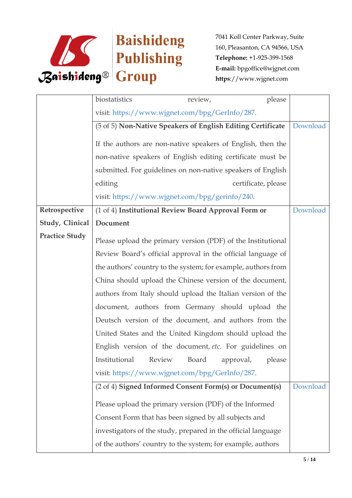

|                       | biostatistics<br>review,                                      |                     | please |          |
|-----------------------|---------------------------------------------------------------|---------------------|--------|----------|
|                       | visit: https://www.wjgnet.com/bpg/GerInfo/287.                |                     |        |          |
|                       | (5 of 5) Non-Native Speakers of English Editing Certificate   |                     |        | Download |
|                       | If the authors are non-native speakers of English, then the   |                     |        |          |
|                       | non-native speakers of English editing certificate must be    |                     |        |          |
|                       | submitted. For guidelines on non-native speakers of English   |                     |        |          |
|                       | editing                                                       | certificate, please |        |          |
|                       | visit: https://www.wjgnet.com/bpg/gerinfo/240.                |                     |        |          |
| Retrospective         | (1 of 4) Institutional Review Board Approval Form or          |                     |        | Download |
| Study, Clinical       | Document                                                      |                     |        |          |
| <b>Practice Study</b> | Please upload the primary version (PDF) of the Institutional  |                     |        |          |
|                       | Review Board's official approval in the official language of  |                     |        |          |
|                       | the authors' country to the system; for example, authors from |                     |        |          |
|                       | China should upload the Chinese version of the document,      |                     |        |          |
|                       | authors from Italy should upload the Italian version of the   |                     |        |          |
|                       | document, authors from Germany should upload the              |                     |        |          |
|                       | Deutsch version of the document, and authors from the         |                     |        |          |
|                       | United States and the United Kingdom should upload the        |                     |        |          |
|                       | English version of the document, etc. For guidelines on       |                     |        |          |
|                       | Institutional<br>Review<br>Board                              | approval,           | please |          |
|                       | visit: https://www.wjgnet.com/bpg/GerInfo/287.                |                     |        |          |
|                       | (2 of 4) Signed Informed Consent Form(s) or Document(s)       |                     |        | Download |
|                       | Please upload the primary version (PDF) of the Informed       |                     |        |          |
|                       | Consent Form that has been signed by all subjects and         |                     |        |          |
|                       | investigators of the study, prepared in the official language |                     |        |          |
|                       | of the authors' country to the system; for example, authors   |                     |        |          |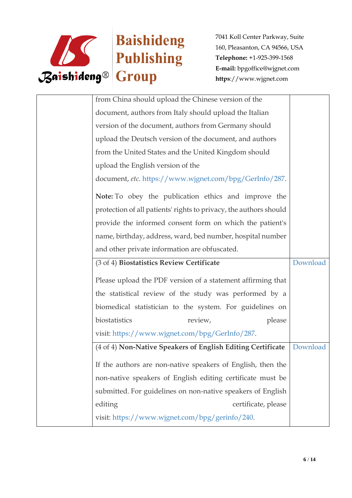

| from China should upload the Chinese version of the               |          |
|-------------------------------------------------------------------|----------|
| document, authors from Italy should upload the Italian            |          |
| version of the document, authors from Germany should              |          |
| upload the Deutsch version of the document, and authors           |          |
| from the United States and the United Kingdom should              |          |
| upload the English version of the                                 |          |
| document, etc. https://www.wjgnet.com/bpg/GerInfo/287.            |          |
| Note: To obey the publication ethics and improve the              |          |
| protection of all patients' rights to privacy, the authors should |          |
| provide the informed consent form on which the patient's          |          |
| name, birthday, address, ward, bed number, hospital number        |          |
| and other private information are obfuscated.                     |          |
| (3 of 4) Biostatistics Review Certificate                         | Download |
| Please upload the PDF version of a statement affirming that       |          |
| the statistical review of the study was performed by a            |          |
| biomedical statistician to the system. For guidelines on          |          |
| biostatistics<br>review,<br>please                                |          |
| visit: https://www.wjgnet.com/bpg/GerInfo/287.                    |          |
| (4 of 4) Non-Native Speakers of English Editing Certificate       | Download |
| If the authors are non-native speakers of English, then the       |          |
| non-native speakers of English editing certificate must be        |          |
| submitted. For guidelines on non-native speakers of English       |          |
| editing<br>certificate, please                                    |          |
| visit: https://www.wjgnet.com/bpg/gerinfo/240.                    |          |
|                                                                   |          |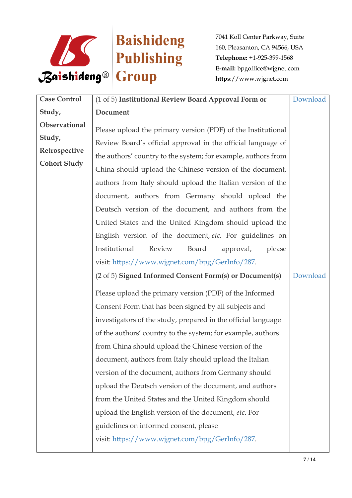

| <b>Case Control</b>                                             | (1 of 5) Institutional Review Board Approval Form or                                                                                                                                                                                                                                                                                                                                                                                                                                                                                                                                                                                                                                                                                                                                                                                                                                                                                                                                                                                                                                                                                                                                                                                                                                                                                       | Download |
|-----------------------------------------------------------------|--------------------------------------------------------------------------------------------------------------------------------------------------------------------------------------------------------------------------------------------------------------------------------------------------------------------------------------------------------------------------------------------------------------------------------------------------------------------------------------------------------------------------------------------------------------------------------------------------------------------------------------------------------------------------------------------------------------------------------------------------------------------------------------------------------------------------------------------------------------------------------------------------------------------------------------------------------------------------------------------------------------------------------------------------------------------------------------------------------------------------------------------------------------------------------------------------------------------------------------------------------------------------------------------------------------------------------------------|----------|
| Study,                                                          | Document                                                                                                                                                                                                                                                                                                                                                                                                                                                                                                                                                                                                                                                                                                                                                                                                                                                                                                                                                                                                                                                                                                                                                                                                                                                                                                                                   |          |
| Observational<br>Study,<br>Retrospective<br><b>Cohort Study</b> | Please upload the primary version (PDF) of the Institutional<br>Review Board's official approval in the official language of<br>the authors' country to the system; for example, authors from<br>China should upload the Chinese version of the document,<br>authors from Italy should upload the Italian version of the<br>document, authors from Germany should upload the<br>Deutsch version of the document, and authors from the<br>United States and the United Kingdom should upload the<br>English version of the document, etc. For guidelines on<br>Institutional<br>Review<br>Board<br>please<br>approval,<br>visit: https://www.wjgnet.com/bpg/GerInfo/287.<br>(2 of 5) Signed Informed Consent Form(s) or Document(s)<br>Please upload the primary version (PDF) of the Informed<br>Consent Form that has been signed by all subjects and<br>investigators of the study, prepared in the official language<br>of the authors' country to the system; for example, authors<br>from China should upload the Chinese version of the<br>document, authors from Italy should upload the Italian<br>version of the document, authors from Germany should<br>upload the Deutsch version of the document, and authors<br>from the United States and the United Kingdom should<br>upload the English version of the document, etc. For | Download |
|                                                                 | guidelines on informed consent, please<br>visit: https://www.wjgnet.com/bpg/GerInfo/287.                                                                                                                                                                                                                                                                                                                                                                                                                                                                                                                                                                                                                                                                                                                                                                                                                                                                                                                                                                                                                                                                                                                                                                                                                                                   |          |
|                                                                 |                                                                                                                                                                                                                                                                                                                                                                                                                                                                                                                                                                                                                                                                                                                                                                                                                                                                                                                                                                                                                                                                                                                                                                                                                                                                                                                                            |          |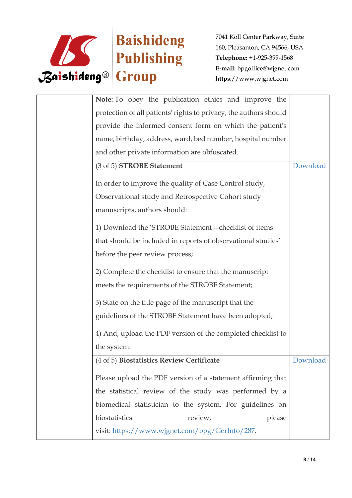

| Note: To obey the publication ethics and improve the              |          |
|-------------------------------------------------------------------|----------|
| protection of all patients' rights to privacy, the authors should |          |
| provide the informed consent form on which the patient's          |          |
| name, birthday, address, ward, bed number, hospital number        |          |
| and other private information are obfuscated.                     |          |
| (3 of 5) STROBE Statement                                         | Download |
| In order to improve the quality of Case Control study,            |          |
| Observational study and Retrospective Cohort study                |          |
| manuscripts, authors should:                                      |          |
| 1) Download the 'STROBE Statement-checklist of items              |          |
| that should be included in reports of observational studies'      |          |
| before the peer review process;                                   |          |
| 2) Complete the checklist to ensure that the manuscript           |          |
| meets the requirements of the STROBE Statement;                   |          |
| 3) State on the title page of the manuscript that the             |          |
| guidelines of the STROBE Statement have been adopted;             |          |
| 4) And, upload the PDF version of the completed checklist to      |          |
| the system.                                                       |          |
| (4 of 5) Biostatistics Review Certificate                         | Download |
| Please upload the PDF version of a statement affirming that       |          |
| the statistical review of the study was performed by a            |          |
| biomedical statistician to the system. For guidelines on          |          |
| biostatistics<br>review,<br>please                                |          |
| visit: https://www.wjgnet.com/bpg/GerInfo/287.                    |          |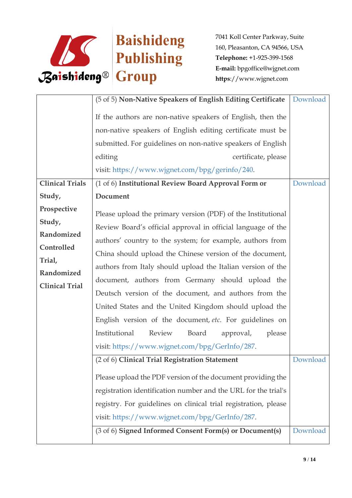

|                                                                                                                                                                                                                                                                                                                                                                                                                                                                                                                                                                                                                                                                     | Download                                                                                                                                                                          |
|---------------------------------------------------------------------------------------------------------------------------------------------------------------------------------------------------------------------------------------------------------------------------------------------------------------------------------------------------------------------------------------------------------------------------------------------------------------------------------------------------------------------------------------------------------------------------------------------------------------------------------------------------------------------|-----------------------------------------------------------------------------------------------------------------------------------------------------------------------------------|
| If the authors are non-native speakers of English, then the<br>non-native speakers of English editing certificate must be<br>submitted. For guidelines on non-native speakers of English<br>editing<br>certificate, please                                                                                                                                                                                                                                                                                                                                                                                                                                          |                                                                                                                                                                                   |
|                                                                                                                                                                                                                                                                                                                                                                                                                                                                                                                                                                                                                                                                     | Download                                                                                                                                                                          |
|                                                                                                                                                                                                                                                                                                                                                                                                                                                                                                                                                                                                                                                                     |                                                                                                                                                                                   |
| Please upload the primary version (PDF) of the Institutional<br>Review Board's official approval in official language of the<br>authors' country to the system; for example, authors from<br>China should upload the Chinese version of the document,<br>authors from Italy should upload the Italian version of the<br>document, authors from Germany should upload the<br>Deutsch version of the document, and authors from the<br>United States and the United Kingdom should upload the<br>English version of the document, etc. For guidelines on<br>Institutional<br>Review<br>Board<br>approval,<br>please<br>visit: https://www.wjgnet.com/bpg/GerInfo/287. |                                                                                                                                                                                   |
| (2 of 6) Clinical Trial Registration Statement<br>Please upload the PDF version of the document providing the<br>registration identification number and the URL for the trial's<br>registry. For guidelines on clinical trial registration, please<br>visit: https://www.wjgnet.com/bpg/GerInfo/287.<br>(3 of 6) Signed Informed Consent Form(s) or Document(s)                                                                                                                                                                                                                                                                                                     | Download<br>Download                                                                                                                                                              |
|                                                                                                                                                                                                                                                                                                                                                                                                                                                                                                                                                                                                                                                                     | (5 of 5) Non-Native Speakers of English Editing Certificate<br>visit: https://www.wjgnet.com/bpg/gerinfo/240.<br>(1 of 6) Institutional Review Board Approval Form or<br>Document |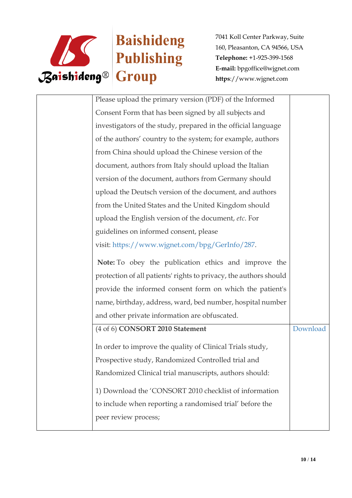

| Please upload the primary version (PDF) of the Informed           |          |
|-------------------------------------------------------------------|----------|
| Consent Form that has been signed by all subjects and             |          |
| investigators of the study, prepared in the official language     |          |
| of the authors' country to the system; for example, authors       |          |
| from China should upload the Chinese version of the               |          |
| document, authors from Italy should upload the Italian            |          |
| version of the document, authors from Germany should              |          |
| upload the Deutsch version of the document, and authors           |          |
| from the United States and the United Kingdom should              |          |
| upload the English version of the document, etc. For              |          |
| guidelines on informed consent, please                            |          |
| visit: https://www.wjgnet.com/bpg/GerInfo/287.                    |          |
| Note: To obey the publication ethics and improve the              |          |
| protection of all patients' rights to privacy, the authors should |          |
| provide the informed consent form on which the patient's          |          |
| name, birthday, address, ward, bed number, hospital number        |          |
| and other private information are obfuscated.                     |          |
| (4 of 6) CONSORT 2010 Statement                                   | Download |
|                                                                   |          |
| In order to improve the quality of Clinical Trials study,         |          |
| Prospective study, Randomized Controlled trial and                |          |
| Randomized Clinical trial manuscripts, authors should:            |          |
| 1) Download the 'CONSORT 2010 checklist of information            |          |
| to include when reporting a randomised trial' before the          |          |
| peer review process;                                              |          |
|                                                                   |          |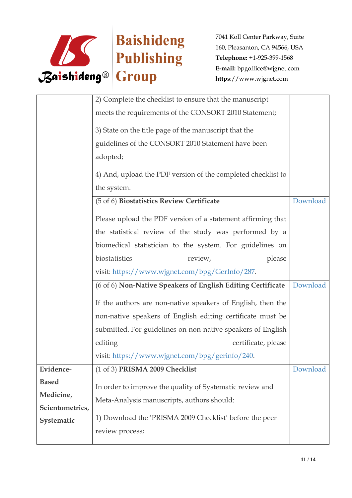

|                 | 2) Complete the checklist to ensure that the manuscript                    |          |
|-----------------|----------------------------------------------------------------------------|----------|
|                 | meets the requirements of the CONSORT 2010 Statement;                      |          |
|                 | 3) State on the title page of the manuscript that the                      |          |
|                 | guidelines of the CONSORT 2010 Statement have been                         |          |
|                 | adopted;                                                                   |          |
|                 | 4) And, upload the PDF version of the completed checklist to               |          |
|                 | the system.                                                                |          |
|                 | (5 of 6) Biostatistics Review Certificate                                  | Download |
|                 | Please upload the PDF version of a statement affirming that                |          |
|                 | the statistical review of the study was performed by a                     |          |
|                 | biomedical statistician to the system. For guidelines on                   |          |
|                 |                                                                            |          |
|                 | biostatistics<br>review,<br>please                                         |          |
|                 | visit: https://www.wjgnet.com/bpg/GerInfo/287.                             |          |
|                 | (6 of 6) Non-Native Speakers of English Editing Certificate                | Download |
|                 | If the authors are non-native speakers of English, then the                |          |
|                 | non-native speakers of English editing certificate must be                 |          |
|                 | submitted. For guidelines on non-native speakers of English                |          |
|                 | editing<br>certificate, please                                             |          |
|                 | visit: https://www.wjgnet.com/bpg/gerinfo/240.                             |          |
| Evidence-       | (1 of 3) PRISMA 2009 Checklist                                             | Download |
| <b>Based</b>    |                                                                            |          |
| Medicine,       | In order to improve the quality of Systematic review and                   |          |
| Scientometrics, | Meta-Analysis manuscripts, authors should:                                 |          |
| Systematic      | 1) Download the 'PRISMA 2009 Checklist' before the peer<br>review process; |          |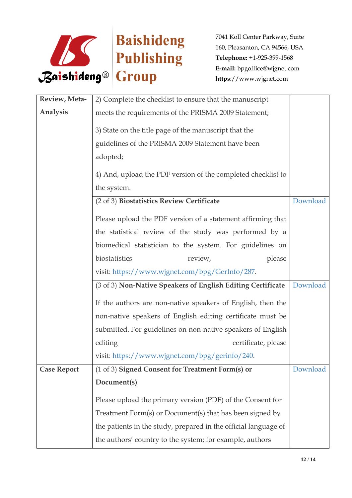

| Review, Meta-      | 2) Complete the checklist to ensure that the manuscript         |          |
|--------------------|-----------------------------------------------------------------|----------|
| Analysis           | meets the requirements of the PRISMA 2009 Statement;            |          |
|                    | 3) State on the title page of the manuscript that the           |          |
|                    | guidelines of the PRISMA 2009 Statement have been               |          |
|                    | adopted;                                                        |          |
|                    | 4) And, upload the PDF version of the completed checklist to    |          |
|                    | the system.                                                     |          |
|                    | (2 of 3) Biostatistics Review Certificate                       | Download |
|                    | Please upload the PDF version of a statement affirming that     |          |
|                    | the statistical review of the study was performed by a          |          |
|                    | biomedical statistician to the system. For guidelines on        |          |
|                    | biostatistics<br>please<br>review,                              |          |
|                    | visit: https://www.wjgnet.com/bpg/GerInfo/287.                  |          |
|                    | (3 of 3) Non-Native Speakers of English Editing Certificate     | Download |
|                    | If the authors are non-native speakers of English, then the     |          |
|                    | non-native speakers of English editing certificate must be      |          |
|                    | submitted. For guidelines on non-native speakers of English     |          |
|                    | editing<br>certificate, please                                  |          |
|                    | visit: https://www.wjgnet.com/bpg/gerinfo/240.                  |          |
| <b>Case Report</b> | (1 of 3) Signed Consent for Treatment Form(s) or                | Download |
|                    | Document(s)                                                     |          |
|                    | Please upload the primary version (PDF) of the Consent for      |          |
|                    | Treatment Form(s) or Document(s) that has been signed by        |          |
|                    | the patients in the study, prepared in the official language of |          |
|                    | the authors' country to the system; for example, authors        |          |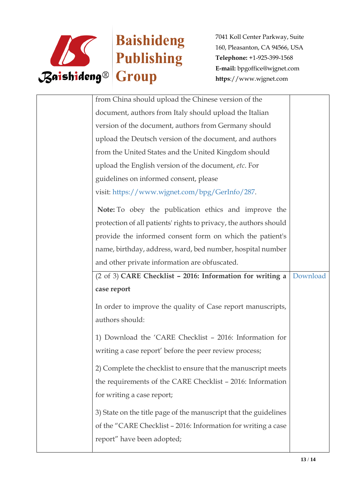

| from China should upload the Chinese version of the               |          |
|-------------------------------------------------------------------|----------|
| document, authors from Italy should upload the Italian            |          |
| version of the document, authors from Germany should              |          |
| upload the Deutsch version of the document, and authors           |          |
| from the United States and the United Kingdom should              |          |
| upload the English version of the document, etc. For              |          |
| guidelines on informed consent, please                            |          |
| visit: https://www.wjgnet.com/bpg/GerInfo/287.                    |          |
| Note: To obey the publication ethics and improve the              |          |
| protection of all patients' rights to privacy, the authors should |          |
| provide the informed consent form on which the patient's          |          |
| name, birthday, address, ward, bed number, hospital number        |          |
| and other private information are obfuscated.                     |          |
|                                                                   |          |
| (2 of 3) CARE Checklist - 2016: Information for writing a         | Download |
| case report                                                       |          |
| In order to improve the quality of Case report manuscripts,       |          |
| authors should:                                                   |          |
|                                                                   |          |
| 1) Download the 'CARE Checklist - 2016: Information for           |          |
| writing a case report' before the peer review process;            |          |
| 2) Complete the checklist to ensure that the manuscript meets     |          |
| the requirements of the CARE Checklist - 2016: Information        |          |
| for writing a case report;                                        |          |
| 3) State on the title page of the manuscript that the guidelines  |          |
| of the "CARE Checklist - 2016: Information for writing a case     |          |
| report" have been adopted;                                        |          |